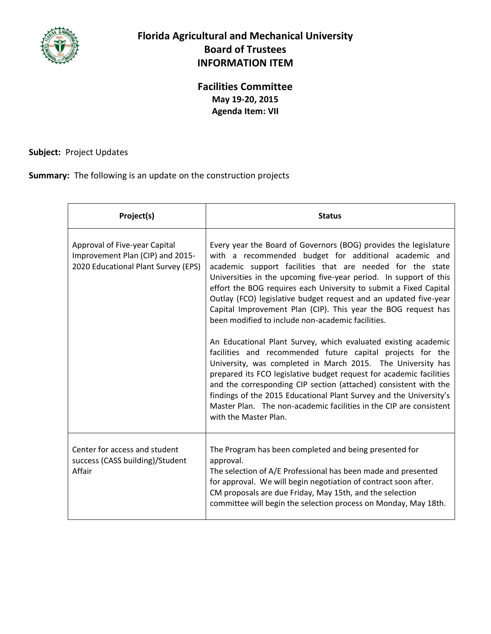

## **Florida Agricultural and Mechanical University Board of Trustees INFORMATION ITEM**

## **Facilities Committee May 19-20, 2015 Agenda Item: VII**

## **Subject:** Project Updates

**Summary:** The following is an update on the construction projects

| Project(s)                                                                                               | <b>Status</b>                                                                                                                                                                                                                                                                                                                                                                                                                                                                                                                                                                                                                                                                                                                                                                                                                                                                                                                                                                                                                             |
|----------------------------------------------------------------------------------------------------------|-------------------------------------------------------------------------------------------------------------------------------------------------------------------------------------------------------------------------------------------------------------------------------------------------------------------------------------------------------------------------------------------------------------------------------------------------------------------------------------------------------------------------------------------------------------------------------------------------------------------------------------------------------------------------------------------------------------------------------------------------------------------------------------------------------------------------------------------------------------------------------------------------------------------------------------------------------------------------------------------------------------------------------------------|
| Approval of Five-year Capital<br>Improvement Plan (CIP) and 2015-<br>2020 Educational Plant Survey (EPS) | Every year the Board of Governors (BOG) provides the legislature<br>with a recommended budget for additional academic and<br>academic support facilities that are needed for the state<br>Universities in the upcoming five-year period. In support of this<br>effort the BOG requires each University to submit a Fixed Capital<br>Outlay (FCO) legislative budget request and an updated five-year<br>Capital Improvement Plan (CIP). This year the BOG request has<br>been modified to include non-academic facilities.<br>An Educational Plant Survey, which evaluated existing academic<br>facilities and recommended future capital projects for the<br>University, was completed in March 2015. The University has<br>prepared its FCO legislative budget request for academic facilities<br>and the corresponding CIP section (attached) consistent with the<br>findings of the 2015 Educational Plant Survey and the University's<br>Master Plan. The non-academic facilities in the CIP are consistent<br>with the Master Plan. |
| Center for access and student<br>success (CASS building)/Student<br>Affair                               | The Program has been completed and being presented for<br>approval.<br>The selection of A/E Professional has been made and presented<br>for approval. We will begin negotiation of contract soon after.<br>CM proposals are due Friday, May 15th, and the selection<br>committee will begin the selection process on Monday, May 18th.                                                                                                                                                                                                                                                                                                                                                                                                                                                                                                                                                                                                                                                                                                    |